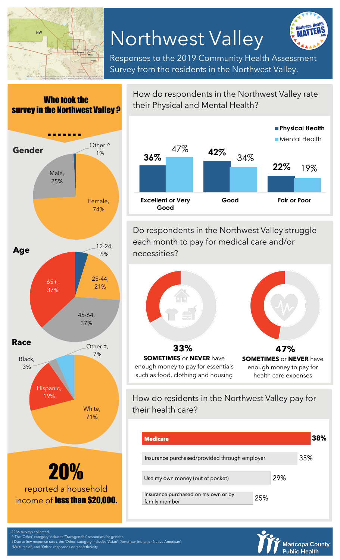

Who took the

## Northwest Valley



Responses to the 2019 Community Health Assessment Survey from the residents in the Northwest Valley.



How do respondents in the Northwest Valley rate their Physical and Mental Health?



Do respondents in the Northwest Valley struggle each month to pay for medical care and/or necessities?



enough money to pay for essentials such as food, clothing and housing

enough money to pay for health care expenses

How do residents in the Northwest Valley pay for their health care?

| <b>Medicare</b>                                      |     |     | 38% |
|------------------------------------------------------|-----|-----|-----|
| Insurance purchased/provided through employer        |     |     | 35% |
| Use my own money (out of pocket)                     |     | 29% |     |
| Insurance purchased on my own or by<br>family member | 25% |     |     |